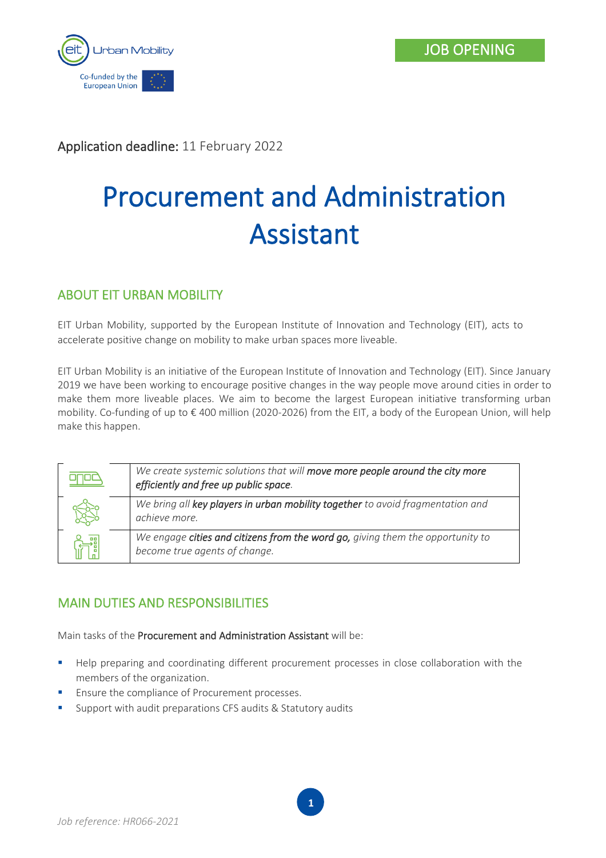

Application deadline: 11 February 2022

# Procurement and Administration Assistant

## ABOUT EIT URBAN MOBILITY

EIT Urban Mobility, supported by the European Institute of Innovation and Technology (EIT), acts to accelerate positive change on mobility to make urban spaces more liveable.

EIT Urban Mobility is an initiative of the European Institute of Innovation and Technology (EIT). Since January 2019 we have been working to encourage positive changes in the way people move around cities in order to make them more liveable places. We aim to become the largest European initiative transforming urban mobility. Co-funding of up to € 400 million (2020-2026) from the EIT, a body of the European Union, will help make this happen.

| We create systemic solutions that will move more people around the city more<br>efficiently and free up public space. |
|-----------------------------------------------------------------------------------------------------------------------|
| We bring all key players in urban mobility together to avoid fragmentation and<br>achieve more.                       |
| We engage cities and citizens from the word go, giving them the opportunity to<br>become true agents of change.       |

## MAIN DUTIES AND RESPONSIBILITIES

Main tasks of the Procurement and Administration Assistant will be:

**■** Help preparing and coordinating different procurement processes in close collaboration with the members of the organization.

**1**

- **Ensure the compliance of Procurement processes.**
- Support with audit preparations CFS audits & Statutory audits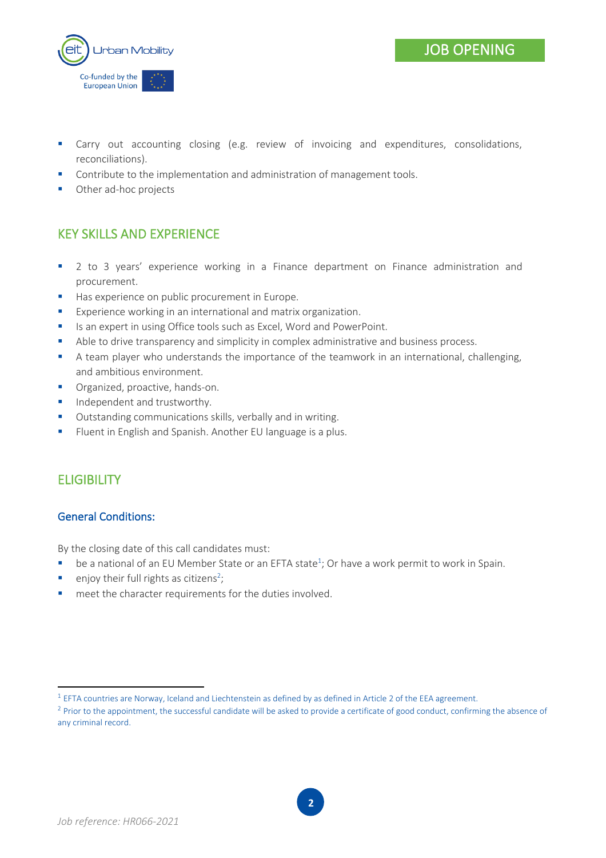



- **E** Carry out accounting closing (e.g. review of invoicing and expenditures, consolidations, reconciliations).
- Contribute to the implementation and administration of management tools.
- Other ad-hoc projects

## KEY SKILLS AND EXPERIENCE

- 2 to 3 years' experience working in a Finance department on Finance administration and procurement.
- Has experience on public procurement in Europe.
- Experience working in an international and matrix organization.
- Is an expert in using Office tools such as Excel, Word and PowerPoint.
- Able to drive transparency and simplicity in complex administrative and business process.
- A team player who understands the importance of the teamwork in an international, challenging, and ambitious environment.
- Organized, proactive, hands-on.
- **■** Independent and trustworthy.
- Outstanding communications skills, verbally and in writing.
- **EXECT:** Fluent in English and Spanish. Another EU language is a plus.

#### **ELIGIBILITY**

#### General Conditions:

By the closing date of this call candidates must:

- $\blacksquare$  be a national of an EU Member State or an EFTA state<sup>1</sup>; Or have a work permit to work in Spain.
- **•** enjoy their full rights as citizens<sup>2</sup>;
- meet the character requirements for the duties involved.

 $^1$  EFTA countries are Norway, Iceland and Liechtenstein as defined by as defined in Article 2 of the EEA agreement.

 $2$  Prior to the appointment, the successful candidate will be asked to provide a certificate of good conduct, confirming the absence of any criminal record.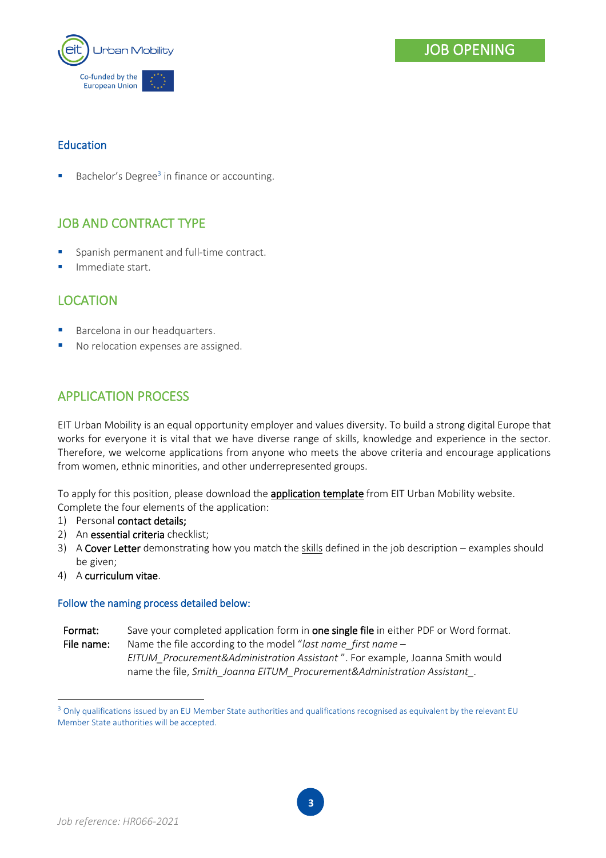

#### Education

 $\blacksquare$  Bachelor's Degree<sup>3</sup> in finance or accounting.

## JOB AND CONTRACT TYPE

- Spanish permanent and full-time contract.
- **■** Immediate start.

#### LOCATION

- Barcelona in our headquarters.
- No relocation expenses are assigned.

#### APPLICATION PROCESS

EIT Urban Mobility is an equal opportunity employer and values diversity. To build a strong digital Europe that works for everyone it is vital that we have diverse range of skills, knowledge and experience in the sector. Therefore, we welcome applications from anyone who meets the above criteria and encourage applications from women, ethnic minorities, and other underrepresented groups.

To apply for this position, please download the **application template** from EIT Urban Mobility website. Complete the four elements of the application:

- 1) Personal contact details;
- 2) An essential criteria checklist;
- 3) A Cover Letter demonstrating how you match the skills defined in the job description examples should be given;
- 4) A curriculum vitae.

#### Follow the naming process detailed below:

Format: Save your completed application form in one single file in either PDF or Word format. File name: Name the file according to the model "*last name\_first name – EITUM\_Procurement&Administration Assistant* ". For example, Joanna Smith would name the file, *Smith\_Joanna EITUM\_Procurement&Administration Assistant\_.*

<sup>&</sup>lt;sup>3</sup> Only qualifications issued by an EU Member State authorities and qualifications recognised as equivalent by the relevant EU Member State authorities will be accepted.